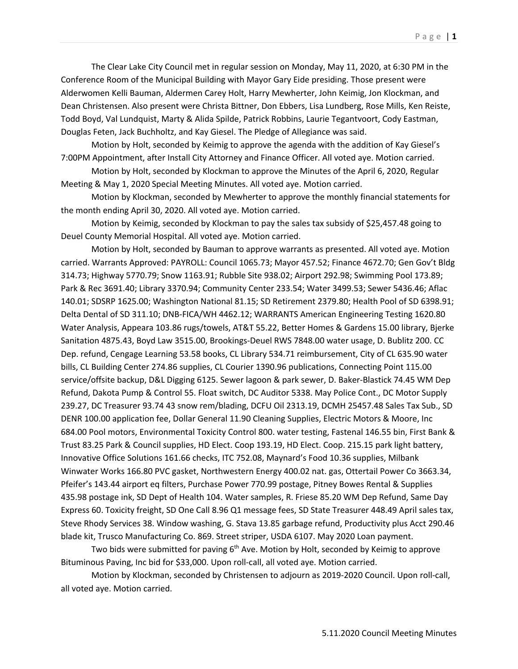The Clear Lake City Council met in regular session on Monday, May 11, 2020, at 6:30 PM in the Conference Room of the Municipal Building with Mayor Gary Eide presiding. Those present were Alderwomen Kelli Bauman, Aldermen Carey Holt, Harry Mewherter, John Keimig, Jon Klockman, and Dean Christensen. Also present were Christa Bittner, Don Ebbers, Lisa Lundberg, Rose Mills, Ken Reiste, Todd Boyd, Val Lundquist, Marty & Alida Spilde, Patrick Robbins, Laurie Tegantvoort, Cody Eastman, Douglas Feten, Jack Buchholtz, and Kay Giesel. The Pledge of Allegiance was said.

Motion by Holt, seconded by Keimig to approve the agenda with the addition of Kay Giesel's 7:00PM Appointment, after Install City Attorney and Finance Officer. All voted aye. Motion carried.

Motion by Holt, seconded by Klockman to approve the Minutes of the April 6, 2020, Regular Meeting & May 1, 2020 Special Meeting Minutes. All voted aye. Motion carried.

Motion by Klockman, seconded by Mewherter to approve the monthly financial statements for the month ending April 30, 2020. All voted aye. Motion carried.

Motion by Keimig, seconded by Klockman to pay the sales tax subsidy of \$25,457.48 going to Deuel County Memorial Hospital. All voted aye. Motion carried.

Motion by Holt, seconded by Bauman to approve warrants as presented. All voted aye. Motion carried. Warrants Approved: PAYROLL: Council 1065.73; Mayor 457.52; Finance 4672.70; Gen Gov't Bldg 314.73; Highway 5770.79; Snow 1163.91; Rubble Site 938.02; Airport 292.98; Swimming Pool 173.89; Park & Rec 3691.40; Library 3370.94; Community Center 233.54; Water 3499.53; Sewer 5436.46; Aflac 140.01; SDSRP 1625.00; Washington National 81.15; SD Retirement 2379.80; Health Pool of SD 6398.91; Delta Dental of SD 311.10; DNB-FICA/WH 4462.12; WARRANTS American Engineering Testing 1620.80 Water Analysis, Appeara 103.86 rugs/towels, AT&T 55.22, Better Homes & Gardens 15.00 library, Bjerke Sanitation 4875.43, Boyd Law 3515.00, Brookings-Deuel RWS 7848.00 water usage, D. Bublitz 200. CC Dep. refund, Cengage Learning 53.58 books, CL Library 534.71 reimbursement, City of CL 635.90 water bills, CL Building Center 274.86 supplies, CL Courier 1390.96 publications, Connecting Point 115.00 service/offsite backup, D&L Digging 6125. Sewer lagoon & park sewer, D. Baker-Blastick 74.45 WM Dep Refund, Dakota Pump & Control 55. Float switch, DC Auditor 5338. May Police Cont., DC Motor Supply 239.27, DC Treasurer 93.74 43 snow rem/blading, DCFU Oil 2313.19, DCMH 25457.48 Sales Tax Sub., SD DENR 100.00 application fee, Dollar General 11.90 Cleaning Supplies, Electric Motors & Moore, Inc 684.00 Pool motors, Environmental Toxicity Control 800. water testing, Fastenal 146.55 bin, First Bank & Trust 83.25 Park & Council supplies, HD Elect. Coop 193.19, HD Elect. Coop. 215.15 park light battery, Innovative Office Solutions 161.66 checks, ITC 752.08, Maynard's Food 10.36 supplies, Milbank Winwater Works 166.80 PVC gasket, Northwestern Energy 400.02 nat. gas, Ottertail Power Co 3663.34, Pfeifer's 143.44 airport eq filters, Purchase Power 770.99 postage, Pitney Bowes Rental & Supplies 435.98 postage ink, SD Dept of Health 104. Water samples, R. Friese 85.20 WM Dep Refund, Same Day Express 60. Toxicity freight, SD One Call 8.96 Q1 message fees, SD State Treasurer 448.49 April sales tax, Steve Rhody Services 38. Window washing, G. Stava 13.85 garbage refund, Productivity plus Acct 290.46 blade kit, Trusco Manufacturing Co. 869. Street striper, USDA 6107. May 2020 Loan payment.

Two bids were submitted for paving 6<sup>th</sup> Ave. Motion by Holt, seconded by Keimig to approve Bituminous Paving, Inc bid for \$33,000. Upon roll-call, all voted aye. Motion carried.

Motion by Klockman, seconded by Christensen to adjourn as 2019-2020 Council. Upon roll-call, all voted aye. Motion carried.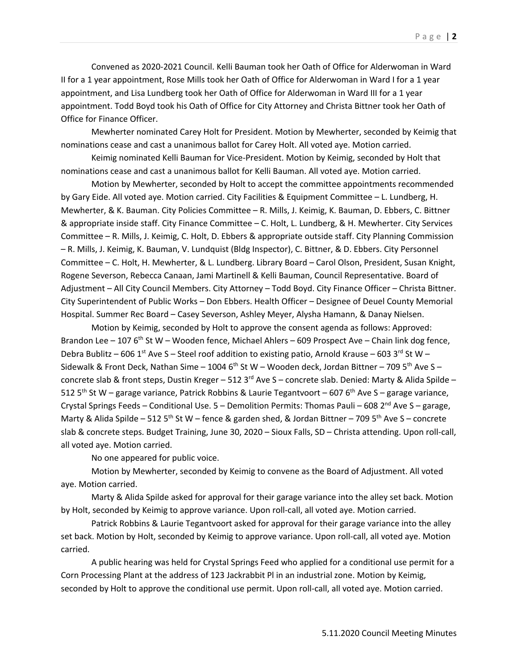Convened as 2020-2021 Council. Kelli Bauman took her Oath of Office for Alderwoman in Ward II for a 1 year appointment, Rose Mills took her Oath of Office for Alderwoman in Ward I for a 1 year appointment, and Lisa Lundberg took her Oath of Office for Alderwoman in Ward III for a 1 year appointment. Todd Boyd took his Oath of Office for City Attorney and Christa Bittner took her Oath of Office for Finance Officer.

Mewherter nominated Carey Holt for President. Motion by Mewherter, seconded by Keimig that nominations cease and cast a unanimous ballot for Carey Holt. All voted aye. Motion carried.

Keimig nominated Kelli Bauman for Vice-President. Motion by Keimig, seconded by Holt that nominations cease and cast a unanimous ballot for Kelli Bauman. All voted aye. Motion carried.

Motion by Mewherter, seconded by Holt to accept the committee appointments recommended by Gary Eide. All voted aye. Motion carried. City Facilities & Equipment Committee – L. Lundberg, H. Mewherter, & K. Bauman. City Policies Committee – R. Mills, J. Keimig, K. Bauman, D. Ebbers, C. Bittner & appropriate inside staff. City Finance Committee – C. Holt, L. Lundberg, & H. Mewherter. City Services Committee – R. Mills, J. Keimig, C. Holt, D. Ebbers & appropriate outside staff. City Planning Commission – R. Mills, J. Keimig, K. Bauman, V. Lundquist (Bldg Inspector), C. Bittner, & D. Ebbers. City Personnel Committee – C. Holt, H. Mewherter, & L. Lundberg. Library Board – Carol Olson, President, Susan Knight, Rogene Severson, Rebecca Canaan, Jami Martinell & Kelli Bauman, Council Representative. Board of Adjustment – All City Council Members. City Attorney – Todd Boyd. City Finance Officer – Christa Bittner. City Superintendent of Public Works – Don Ebbers. Health Officer – Designee of Deuel County Memorial Hospital. Summer Rec Board – Casey Severson, Ashley Meyer, Alysha Hamann, & Danay Nielsen.

Motion by Keimig, seconded by Holt to approve the consent agenda as follows: Approved: Brandon Lee – 107 6<sup>th</sup> St W – Wooden fence, Michael Ahlers – 609 Prospect Ave – Chain link dog fence, Debra Bublitz – 606 1<sup>st</sup> Ave S – Steel roof addition to existing patio, Arnold Krause – 603 3<sup>rd</sup> St W – Sidewalk & Front Deck, Nathan Sime – 1004 6<sup>th</sup> St W – Wooden deck, Jordan Bittner – 709 5<sup>th</sup> Ave S – concrete slab & front steps, Dustin Kreger - 512 3<sup>rd</sup> Ave S - concrete slab. Denied: Marty & Alida Spilde -512 5<sup>th</sup> St W – garage variance, Patrick Robbins & Laurie Tegantvoort – 607 6<sup>th</sup> Ave S – garage variance, Crystal Springs Feeds – Conditional Use.  $5$  – Demolition Permits: Thomas Pauli – 608  $2<sup>nd</sup>$  Ave S – garage, Marty & Alida Spilde – 512 5<sup>th</sup> St W – fence & garden shed, & Jordan Bittner – 709 5<sup>th</sup> Ave S – concrete slab & concrete steps. Budget Training, June 30, 2020 – Sioux Falls, SD – Christa attending. Upon roll-call, all voted aye. Motion carried.

No one appeared for public voice.

Motion by Mewherter, seconded by Keimig to convene as the Board of Adjustment. All voted aye. Motion carried.

Marty & Alida Spilde asked for approval for their garage variance into the alley set back. Motion by Holt, seconded by Keimig to approve variance. Upon roll-call, all voted aye. Motion carried.

Patrick Robbins & Laurie Tegantvoort asked for approval for their garage variance into the alley set back. Motion by Holt, seconded by Keimig to approve variance. Upon roll-call, all voted aye. Motion carried.

A public hearing was held for Crystal Springs Feed who applied for a conditional use permit for a Corn Processing Plant at the address of 123 Jackrabbit Pl in an industrial zone. Motion by Keimig, seconded by Holt to approve the conditional use permit. Upon roll-call, all voted aye. Motion carried.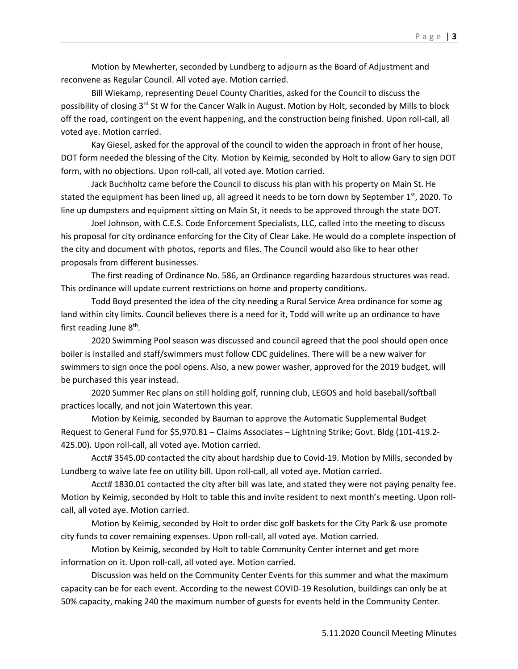Motion by Mewherter, seconded by Lundberg to adjourn as the Board of Adjustment and reconvene as Regular Council. All voted aye. Motion carried.

Bill Wiekamp, representing Deuel County Charities, asked for the Council to discuss the possibility of closing 3<sup>rd</sup> St W for the Cancer Walk in August. Motion by Holt, seconded by Mills to block off the road, contingent on the event happening, and the construction being finished. Upon roll-call, all voted aye. Motion carried.

Kay Giesel, asked for the approval of the council to widen the approach in front of her house, DOT form needed the blessing of the City. Motion by Keimig, seconded by Holt to allow Gary to sign DOT form, with no objections. Upon roll-call, all voted aye. Motion carried.

Jack Buchholtz came before the Council to discuss his plan with his property on Main St. He stated the equipment has been lined up, all agreed it needs to be torn down by September 1st, 2020. To line up dumpsters and equipment sitting on Main St, it needs to be approved through the state DOT.

Joel Johnson, with C.E.S. Code Enforcement Specialists, LLC, called into the meeting to discuss his proposal for city ordinance enforcing for the City of Clear Lake. He would do a complete inspection of the city and document with photos, reports and files. The Council would also like to hear other proposals from different businesses.

The first reading of Ordinance No. 586, an Ordinance regarding hazardous structures was read. This ordinance will update current restrictions on home and property conditions.

Todd Boyd presented the idea of the city needing a Rural Service Area ordinance for some ag land within city limits. Council believes there is a need for it, Todd will write up an ordinance to have first reading June 8<sup>th</sup>.

2020 Swimming Pool season was discussed and council agreed that the pool should open once boiler is installed and staff/swimmers must follow CDC guidelines. There will be a new waiver for swimmers to sign once the pool opens. Also, a new power washer, approved for the 2019 budget, will be purchased this year instead.

2020 Summer Rec plans on still holding golf, running club, LEGOS and hold baseball/softball practices locally, and not join Watertown this year.

Motion by Keimig, seconded by Bauman to approve the Automatic Supplemental Budget Request to General Fund for \$5,970.81 – Claims Associates – Lightning Strike; Govt. Bldg (101-419.2- 425.00). Upon roll-call, all voted aye. Motion carried.

Acct# 3545.00 contacted the city about hardship due to Covid-19. Motion by Mills, seconded by Lundberg to waive late fee on utility bill. Upon roll-call, all voted aye. Motion carried.

Acct# 1830.01 contacted the city after bill was late, and stated they were not paying penalty fee. Motion by Keimig, seconded by Holt to table this and invite resident to next month's meeting. Upon rollcall, all voted aye. Motion carried.

Motion by Keimig, seconded by Holt to order disc golf baskets for the City Park & use promote city funds to cover remaining expenses. Upon roll-call, all voted aye. Motion carried.

Motion by Keimig, seconded by Holt to table Community Center internet and get more information on it. Upon roll-call, all voted aye. Motion carried.

Discussion was held on the Community Center Events for this summer and what the maximum capacity can be for each event. According to the newest COVID-19 Resolution, buildings can only be at 50% capacity, making 240 the maximum number of guests for events held in the Community Center.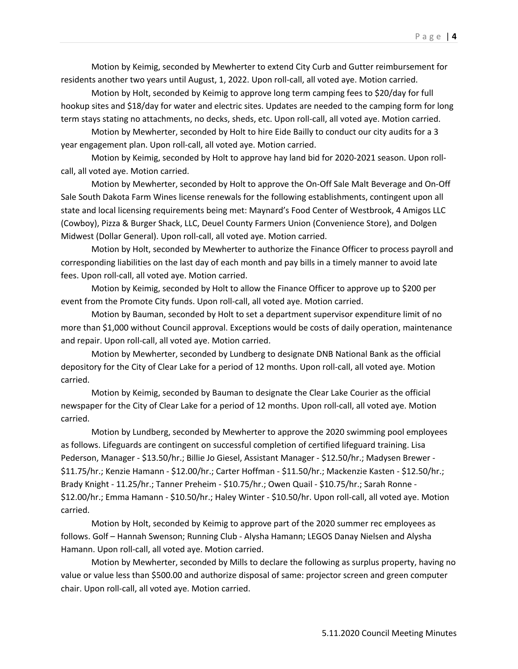Motion by Keimig, seconded by Mewherter to extend City Curb and Gutter reimbursement for residents another two years until August, 1, 2022. Upon roll-call, all voted aye. Motion carried.

Motion by Holt, seconded by Keimig to approve long term camping fees to \$20/day for full hookup sites and \$18/day for water and electric sites. Updates are needed to the camping form for long term stays stating no attachments, no decks, sheds, etc. Upon roll-call, all voted aye. Motion carried.

Motion by Mewherter, seconded by Holt to hire Eide Bailly to conduct our city audits for a 3 year engagement plan. Upon roll-call, all voted aye. Motion carried.

Motion by Keimig, seconded by Holt to approve hay land bid for 2020-2021 season. Upon rollcall, all voted aye. Motion carried.

Motion by Mewherter, seconded by Holt to approve the On-Off Sale Malt Beverage and On-Off Sale South Dakota Farm Wines license renewals for the following establishments, contingent upon all state and local licensing requirements being met: Maynard's Food Center of Westbrook, 4 Amigos LLC (Cowboy), Pizza & Burger Shack, LLC, Deuel County Farmers Union (Convenience Store), and Dolgen Midwest (Dollar General). Upon roll-call, all voted aye. Motion carried.

Motion by Holt, seconded by Mewherter to authorize the Finance Officer to process payroll and corresponding liabilities on the last day of each month and pay bills in a timely manner to avoid late fees. Upon roll-call, all voted aye. Motion carried.

Motion by Keimig, seconded by Holt to allow the Finance Officer to approve up to \$200 per event from the Promote City funds. Upon roll-call, all voted aye. Motion carried.

Motion by Bauman, seconded by Holt to set a department supervisor expenditure limit of no more than \$1,000 without Council approval. Exceptions would be costs of daily operation, maintenance and repair. Upon roll-call, all voted aye. Motion carried.

Motion by Mewherter, seconded by Lundberg to designate DNB National Bank as the official depository for the City of Clear Lake for a period of 12 months. Upon roll-call, all voted aye. Motion carried.

Motion by Keimig, seconded by Bauman to designate the Clear Lake Courier as the official newspaper for the City of Clear Lake for a period of 12 months. Upon roll-call, all voted aye. Motion carried.

Motion by Lundberg, seconded by Mewherter to approve the 2020 swimming pool employees as follows. Lifeguards are contingent on successful completion of certified lifeguard training. Lisa Pederson, Manager - \$13.50/hr.; Billie Jo Giesel, Assistant Manager - \$12.50/hr.; Madysen Brewer - \$11.75/hr.; Kenzie Hamann - \$12.00/hr.; Carter Hoffman - \$11.50/hr.; Mackenzie Kasten - \$12.50/hr.; Brady Knight - 11.25/hr.; Tanner Preheim - \$10.75/hr.; Owen Quail - \$10.75/hr.; Sarah Ronne - \$12.00/hr.; Emma Hamann - \$10.50/hr.; Haley Winter - \$10.50/hr. Upon roll-call, all voted aye. Motion carried.

Motion by Holt, seconded by Keimig to approve part of the 2020 summer rec employees as follows. Golf – Hannah Swenson; Running Club - Alysha Hamann; LEGOS Danay Nielsen and Alysha Hamann. Upon roll-call, all voted aye. Motion carried.

Motion by Mewherter, seconded by Mills to declare the following as surplus property, having no value or value less than \$500.00 and authorize disposal of same: projector screen and green computer chair. Upon roll-call, all voted aye. Motion carried.